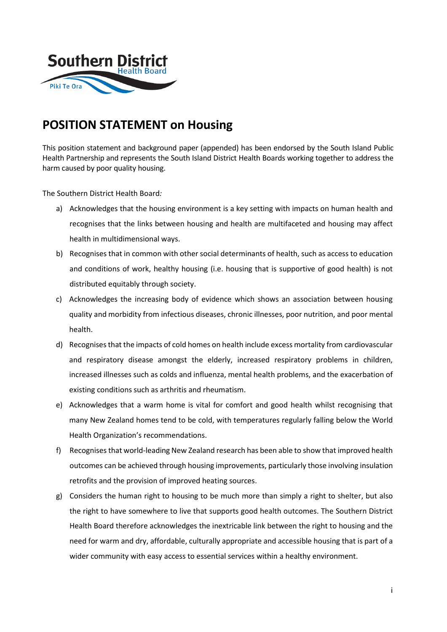

# **POSITION STATEMENT on Housing**

This position statement and background paper (appended) has been endorsed by the South Island Public Health Partnership and represents the South Island District Health Boards working together to address the harm caused by poor quality housing.

The Southern District Health Board*:*

- a) Acknowledges that the housing environment is a key setting with impacts on human health and recognises that the links between housing and health are multifaceted and housing may affect health in multidimensional ways.
- b) Recognises that in common with other social determinants of health, such as access to education and conditions of work, healthy housing (i.e. housing that is supportive of good health) is not distributed equitably through society.
- c) Acknowledges the increasing body of evidence which shows an association between housing quality and morbidity from infectious diseases, chronic illnesses, poor nutrition, and poor mental health.
- d) Recognises that the impacts of cold homes on health include excess mortality from cardiovascular and respiratory disease amongst the elderly, increased respiratory problems in children, increased illnesses such as colds and influenza, mental health problems, and the exacerbation of existing conditions such as arthritis and rheumatism.
- e) Acknowledges that a warm home is vital for comfort and good health whilst recognising that many New Zealand homes tend to be cold, with temperatures regularly falling below the World Health Organization's recommendations.
- f) Recognises that world-leading New Zealand research has been able to show that improved health outcomes can be achieved through housing improvements, particularly those involving insulation retrofits and the provision of improved heating sources.
- g) Considers the human right to housing to be much more than simply a right to shelter, but also the right to have somewhere to live that supports good health outcomes. The Southern District Health Board therefore acknowledges the inextricable link between the right to housing and the need for warm and dry, affordable, culturally appropriate and accessible housing that is part of a wider community with easy access to essential services within a healthy environment.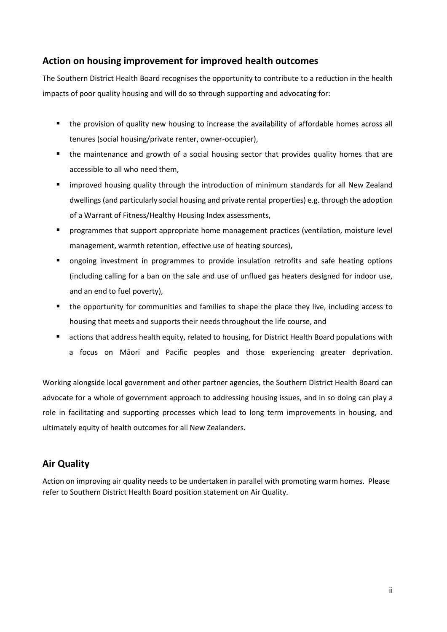## **Action on housing improvement for improved health outcomes**

The Southern District Health Board recognises the opportunity to contribute to a reduction in the health impacts of poor quality housing and will do so through supporting and advocating for:

- the provision of quality new housing to increase the availability of affordable homes across all tenures (social housing/private renter, owner-occupier),
- the maintenance and growth of a social housing sector that provides quality homes that are accessible to all who need them,
- improved housing quality through the introduction of minimum standards for all New Zealand dwellings (and particularly social housing and private rental properties) e.g. through the adoption of a Warrant of Fitness/Healthy Housing Index assessments,
- programmes that support appropriate home management practices (ventilation, moisture level management, warmth retention, effective use of heating sources),
- **•** ongoing investment in programmes to provide insulation retrofits and safe heating options (including calling for a ban on the sale and use of unflued gas heaters designed for indoor use, and an end to fuel poverty),
- the opportunity for communities and families to shape the place they live, including access to housing that meets and supports their needs throughout the life course, and
- actions that address health equity, related to housing, for District Health Board populations with a focus on Māori and Pacific peoples and those experiencing greater deprivation.

Working alongside local government and other partner agencies, the Southern District Health Board can advocate for a whole of government approach to addressing housing issues, and in so doing can play a role in facilitating and supporting processes which lead to long term improvements in housing, and ultimately equity of health outcomes for all New Zealanders.

## **Air Quality**

Action on improving air quality needs to be undertaken in parallel with promoting warm homes. Please refer to Southern District Health Board position statement on Air Quality.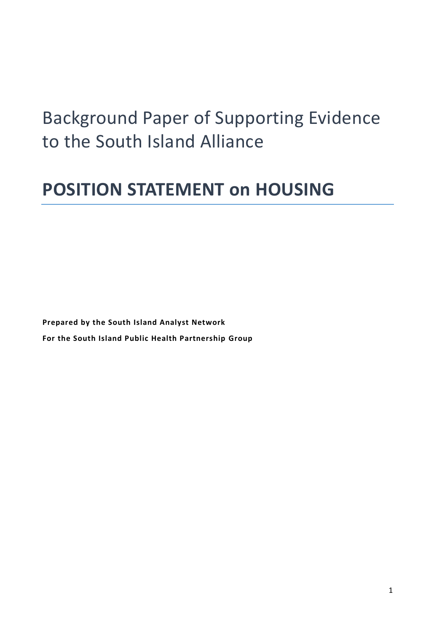# Background Paper of Supporting Evidence to the South Island Alliance

# **POSITION STATEMENT on HOUSING**

**Prepared by the South Island Analyst Network For the South Island Public Health Partnership Group**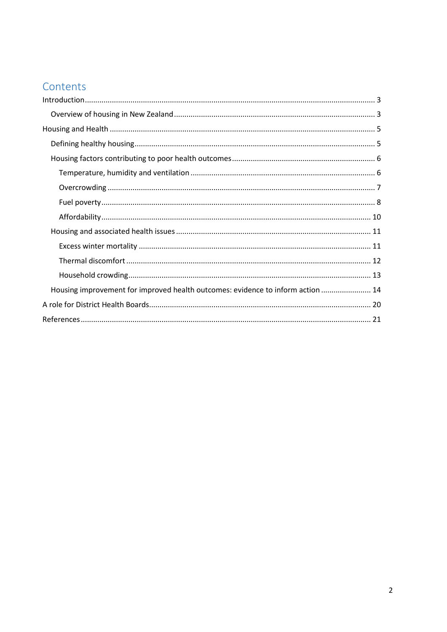## Contents

| Housing improvement for improved health outcomes: evidence to inform action  14 |  |
|---------------------------------------------------------------------------------|--|
|                                                                                 |  |
|                                                                                 |  |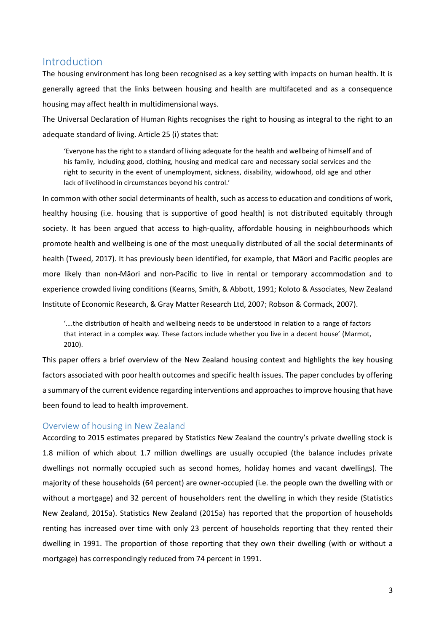## <span id="page-4-0"></span>Introduction

The housing environment has long been recognised as a key setting with impacts on human health. It is generally agreed that the links between housing and health are multifaceted and as a consequence housing may affect health in multidimensional ways.

The Universal Declaration of Human Rights recognises the right to housing as integral to the right to an adequate standard of living. Article 25 (i) states that:

'Everyone has the right to a standard of living adequate for the health and wellbeing of himself and of his family, including good, clothing, housing and medical care and necessary social services and the right to security in the event of unemployment, sickness, disability, widowhood, old age and other lack of livelihood in circumstances beyond his control.'

In common with other social determinants of health, such as access to education and conditions of work, healthy housing (i.e. housing that is supportive of good health) is not distributed equitably through society. It has been argued that access to high-quality, affordable housing in neighbourhoods which promote health and wellbeing is one of the most unequally distributed of all the social determinants of health [\(Tweed, 2017\)](#page-24-0). It has previously been identified, for example, that Māori and Pacific peoples are more likely than non-Māori and non-Pacific to live in rental or temporary accommodation and to experience crowded living conditions [\(Kearns, Smith, & Abbott, 1991;](#page-23-0) [Koloto & Associates, New Zealand](#page-23-1)  [Institute of Economic Research, & Gray Matter Research Ltd, 2007;](#page-23-1) [Robson & Cormack, 2007\)](#page-24-1).

'….the distribution of health and wellbeing needs to be understood in relation to a range of factors that interact in a complex way. These factors include whether you live in a decent house' [\(Marmot,](#page-23-2)  [2010\)](#page-23-2).

This paper offers a brief overview of the New Zealand housing context and highlights the key housing factors associated with poor health outcomes and specific health issues. The paper concludes by offering a summary of the current evidence regarding interventions and approaches to improve housing that have been found to lead to health improvement.

#### <span id="page-4-1"></span>Overview of housing in New Zealand

According to 2015 estimates prepared by Statistics New Zealand the country's private dwelling stock is 1.8 million of which about 1.7 million dwellings are usually occupied (the balance includes private dwellings not normally occupied such as second homes, holiday homes and vacant dwellings). The majority of these households (64 percent) are owner-occupied (i.e. the people own the dwelling with or without a mortgage) and 32 percent of householders rent the dwelling in which they reside [\(Statistics](#page-24-2)  [New Zealand, 2015a\)](#page-24-2). Statistics New Zealand (2015a) has reported that the proportion of households renting has increased over time with only 23 percent of households reporting that they rented their dwelling in 1991. The proportion of those reporting that they own their dwelling (with or without a mortgage) has correspondingly reduced from 74 percent in 1991.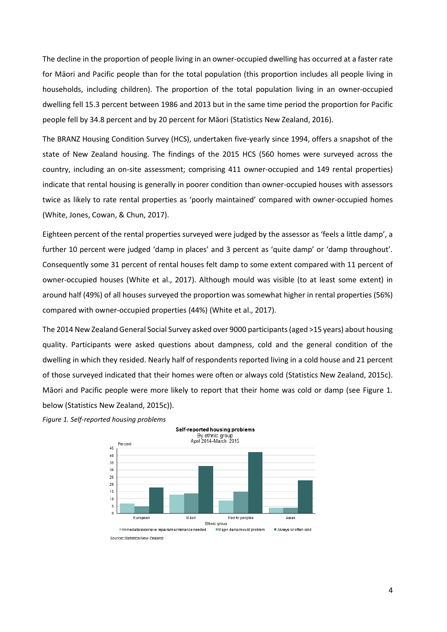The decline in the proportion of people living in an owner-occupied dwelling has occurred at a faster rate for Māori and Pacific people than for the total population (this proportion includes all people living in households, including children). The proportion of the total population living in an owner-occupied dwelling fell 15.3 percent between 1986 and 2013 but in the same time period the proportion for Pacific people fell by 34.8 percent and by 20 percent for Māori [\(Statistics New Zealand, 2016\)](#page-24-3).

The BRANZ Housing Condition Survey (HCS), undertaken five-yearly since 1994, offers a snapshot of the state of New Zealand housing. The findings of the 2015 HCS (560 homes were surveyed across the country, including an on-site assessment; comprising 411 owner-occupied and 149 rental properties) indicate that rental housing is generally in poorer condition than owner-occupied houses with assessors twice as likely to rate rental properties as 'poorly maintained' compared with owner-occupied homes [\(White, Jones, Cowan, & Chun,](#page-24-4) 2017).

Eighteen percent of the rental properties surveyed were judged by the assessor as 'feels a little damp', a further 10 percent were judged 'damp in places' and 3 percent as 'quite damp' or 'damp throughout'. Consequently some 31 percent of rental houses felt damp to some extent compared with 11 percent of owner-occupied houses [\(White et al., 2017\)](#page-24-4). Although mould was visible (to at least some extent) in around half (49%) of all houses surveyed the proportion was somewhat higher in rental properties (56%) compared with owner-occupied properties (44%) [\(White et al., 2017\)](#page-24-4).

The 2014 New Zealand General Social Survey asked over 9000 participants (aged >15 years) about housing quality. Participants were asked questions about dampness, cold and the general condition of the dwelling in which they resided. Nearly half of respondents reported living in a cold house and 21 percent of those surveyed indicated that their homes were often or always cold [\(Statistics New Zealand, 2015c\)](#page-24-5). Māori and Pacific people were more likely to report that their home was cold or damp (see Figure 1. below [\(Statistics New Zealand, 2015c\)](#page-24-5)).



*Figure 1. Self-reported housing problems*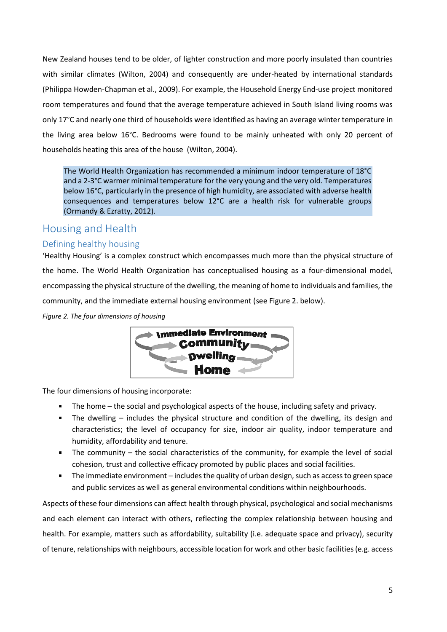New Zealand houses tend to be older, of lighter construction and more poorly insulated than countries with similar climates [\(Wilton, 2004\)](#page-24-6) and consequently are under-heated by international standards [\(Philippa Howden-Chapman et al., 2009\)](#page-23-3). For example, the Household Energy End-use project monitored room temperatures and found that the average temperature achieved in South Island living rooms was only 17°C and nearly one third of households were identified as having an average winter temperature in the living area below 16°C. Bedrooms were found to be mainly unheated with only 20 percent of households heating this area of the house [\(Wilton, 2004\)](#page-24-6).

The World Health Organization has recommended a minimum indoor temperature of 18°C and a 2-3°C warmer minimal temperature for the very young and the very old. Temperatures below 16°C, particularly in the presence of high humidity, are associated with adverse health consequences and temperatures below 12°C are a health risk for vulnerable groups [\(Ormandy & Ezratty, 2012\)](#page-24-7).

## <span id="page-6-0"></span>Housing and Health

### <span id="page-6-1"></span>Defining healthy housing

'Healthy Housing' is a complex construct which encompasses much more than the physical structure of the home. The World Health Organization has conceptualised housing as a four-dimensional model, encompassing the physical structure of the dwelling, the meaning of home to individuals and families, the community, and the immediate external housing environment (see Figure 2. below).

*Figure 2. The four dimensions of housing*



The four dimensions of housing incorporate:

- The home the social and psychological aspects of the house, including safety and privacy.
- The dwelling includes the physical structure and condition of the dwelling, its design and characteristics; the level of occupancy for size, indoor air quality, indoor temperature and humidity, affordability and tenure.
- The community the social characteristics of the community, for example the level of social cohesion, trust and collective efficacy promoted by public places and social facilities.
- The immediate environment includes the quality of urban design, such as access to green space and public services as well as general environmental conditions within neighbourhoods.

Aspects of these four dimensions can affect health through physical, psychological and social mechanisms and each element can interact with others, reflecting the complex relationship between housing and health. For example, matters such as affordability, suitability (i.e. adequate space and privacy), security of tenure, relationships with neighbours, accessible location for work and other basic facilities (e.g. access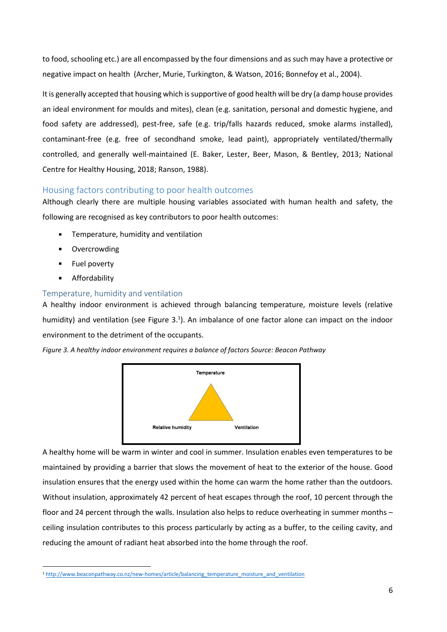to food, schooling etc.) are all encompassed by the four dimensions and as such may have a protective or negative impact on health [\(Archer, Murie, Turkington, & Watson, 2016;](#page-22-1) [Bonnefoy et al., 2004\)](#page-22-2).

It is generally accepted that housing which is supportive of good health will be dry (a damp house provides an ideal environment for moulds and mites), clean (e.g. sanitation, personal and domestic hygiene, and food safety are addressed), pest-free, safe (e.g. trip/falls hazards reduced, smoke alarms installed), contaminant-free (e.g. free of secondhand smoke, lead paint), appropriately ventilated/thermally controlled, and generally well-maintained [\(E. Baker, Lester, Beer, Mason, & Bentley, 2013;](#page-22-3) [National](#page-23-4)  [Centre for Healthy Housing, 2018;](#page-23-4) [Ranson, 1988\)](#page-24-8).

## <span id="page-7-0"></span>Housing factors contributing to poor health outcomes

Although clearly there are multiple housing variables associated with human health and safety, the following are recognised as key contributors to poor health outcomes:

- Temperature, humidity and ventilation
- Overcrowding
- Fuel poverty
- Affordability

### <span id="page-7-1"></span>Temperature, humidity and ventilation

A healthy indoor environment is achieved through balancing temperature, moisture levels (relative humidity) and ventilation (see Figure  $3.1$ ). An imbalance of one factor alone can impact on the indoor environment to the detriment of the occupants.

*Figure 3. A healthy indoor environment requires a balance of factors Source: Beacon Pathway*



A healthy home will be warm in winter and cool in summer. Insulation enables even temperatures to be maintained by providing a barrier that slows the movement of heat to the exterior of the house. Good insulation ensures that the energy used within the home can warm the home rather than the outdoors. Without insulation, approximately 42 percent of heat escapes through the roof, 10 percent through the floor and 24 percent through the walls. Insulation also helps to reduce overheating in summer months – ceiling insulation contributes to this process particularly by acting as a buffer, to the ceiling cavity, and reducing the amount of radiant heat absorbed into the home through the roof.

 $\overline{a}$ <sup>1</sup> [http://www.beaconpathway.co.nz/new-homes/article/balancing\\_temperature\\_moisture\\_and\\_ventilation](http://www.beaconpathway.co.nz/new-homes/article/balancing_temperature_moisture_and_ventilation)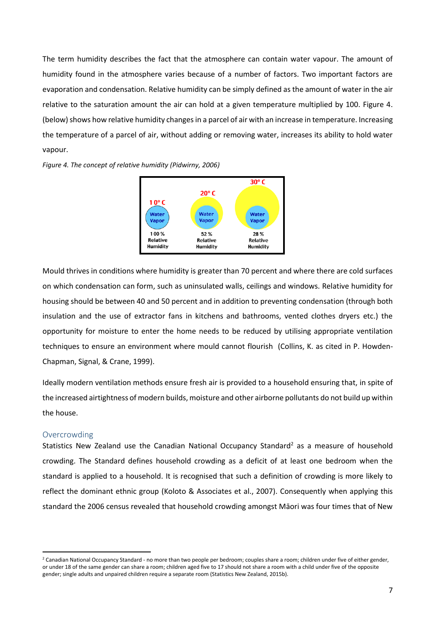The term humidity describes the fact that the atmosphere can contain water vapour. The amount of humidity found in the atmosphere varies because of a number of factors. Two important factors are evaporation and condensation. Relative humidity can be simply defined as the amount of water in the air relative to the saturation amount the air can hold at a given temperature multiplied by 100. Figure 4. (below) shows how relative humidity changes in a parcel of air with an increase in temperature. Increasing the temperature of a parcel of air, without adding or removing water, increases its ability to hold water vapour.





Mould thrives in conditions where humidity is greater than 70 percent and where there are cold surfaces on which condensation can form, such as uninsulated walls, ceilings and windows. Relative humidity for housing should be between 40 and 50 percent and in addition to preventing condensation (through both insulation and the use of extractor fans in kitchens and bathrooms, vented clothes dryers etc.) the opportunity for moisture to enter the home needs to be reduced by utilising appropriate ventilation techniques to ensure an environment where mould cannot flourish (Collins, K. as cited in [P. Howden-](#page-23-5)[Chapman, Signal, & Crane, 1999\)](#page-23-5).

Ideally modern ventilation methods ensure fresh air is provided to a household ensuring that, in spite of the increased airtightness of modern builds, moisture and other airborne pollutants do not build up within the house.

#### <span id="page-8-0"></span>Overcrowding

1

Statistics New Zealand use the Canadian National Occupancy Standard<sup>2</sup> as a measure of household crowding. The Standard defines household crowding as a deficit of at least one bedroom when the standard is applied to a household. It is recognised that such a definition of crowding is more likely to reflect the dominant ethnic group [\(Koloto & Associates et al., 2007\)](#page-23-1). Consequently when applying this standard the 2006 census revealed that household crowding amongst Māori was four times that of New

<sup>&</sup>lt;sup>2</sup> Canadian National Occupancy Standard - no more than two people per bedroom; couples share a room; children under five of either gender, or under 18 of the same gender can share a room; children aged five to 17 should not share a room with a child under five of the opposite gender; single adults and unpaired children require a separate room [\(Statistics New Zealand, 2015b\)](#page-24-9).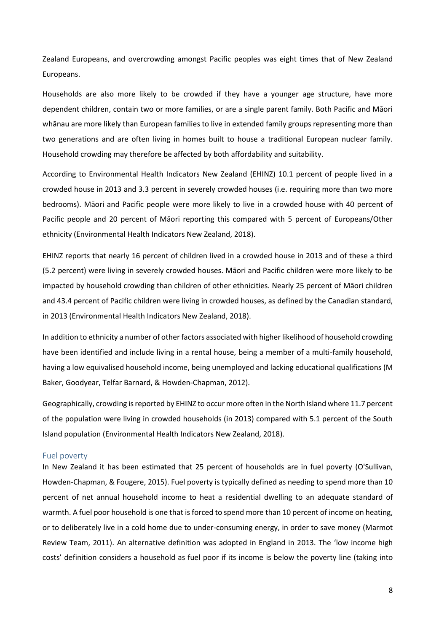Zealand Europeans, and overcrowding amongst Pacific peoples was eight times that of New Zealand Europeans.

Households are also more likely to be crowded if they have a younger age structure, have more dependent children, contain two or more families, or are a single parent family. Both Pacific and Māori whānau are more likely than European families to live in extended family groups representing more than two generations and are often living in homes built to house a traditional European nuclear family. Household crowding may therefore be affected by both affordability and suitability.

According to Environmental Health Indicators New Zealand (EHINZ) 10.1 percent of people lived in a crowded house in 2013 and 3.3 percent in severely crowded houses (i.e. requiring more than two more bedrooms). Māori and Pacific people were more likely to live in a crowded house with 40 percent of Pacific people and 20 percent of Māori reporting this compared with 5 percent of Europeans/Other ethnicity [\(Environmental Health Indicators New Zealand, 2018\)](#page-22-4).

EHINZ reports that nearly 16 percent of children lived in a crowded house in 2013 and of these a third (5.2 percent) were living in severely crowded houses. Māori and Pacific children were more likely to be impacted by household crowding than children of other ethnicities. Nearly 25 percent of Māori children and 43.4 percent of Pacific children were living in crowded houses, as defined by the Canadian standard, in 2013 [\(Environmental Health Indicators New Zealand, 2018\)](#page-22-4).

In addition to ethnicity a number of other factors associated with higher likelihood of household crowding have been identified and include living in a rental house, being a member of a multi-family household, having a low equivalised household income, being unemployed and lacking educational qualifications [\(M](#page-22-5)  [Baker, Goodyear, Telfar Barnard, & Howden-Chapman, 2012\)](#page-22-5).

Geographically, crowding is reported by EHINZ to occur more often in the North Island where 11.7 percent of the population were living in crowded households (in 2013) compared with 5.1 percent of the South Island population [\(Environmental Health Indicators New Zealand, 2018\)](#page-22-4).

#### <span id="page-9-0"></span>Fuel poverty

In New Zealand it has been estimated that 25 percent of households are in fuel poverty [\(O'Sullivan,](#page-23-6)  [Howden-Chapman, & Fougere, 2015\)](#page-23-6). Fuel poverty is typically defined as needing to spend more than 10 percent of net annual household income to heat a residential dwelling to an adequate standard of warmth. A fuel poor household is one that is forced to spend more than 10 percent of income on heating, or to deliberately live in a cold home due to under-consuming energy, in order to save money [\(Marmot](#page-23-7)  [Review Team, 2011\)](#page-23-7). An alternative definition was adopted in England in 2013. The 'low income high costs' definition considers a household as fuel poor if its income is below the poverty line (taking into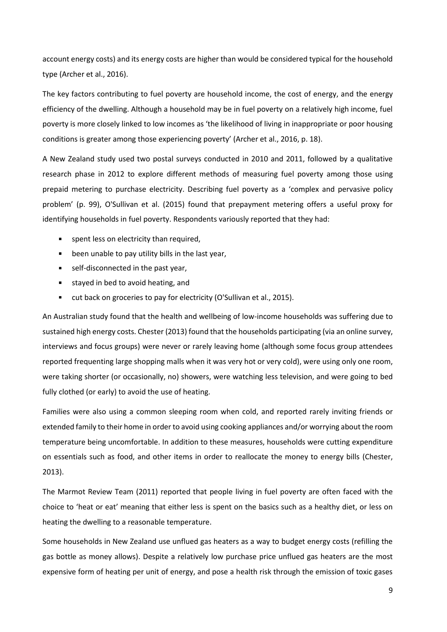account energy costs) and its energy costs are higher than would be considered typical for the household type [\(Archer et al., 2016\)](#page-22-1).

The key factors contributing to fuel poverty are household income, the cost of energy, and the energy efficiency of the dwelling. Although a household may be in fuel poverty on a relatively high income, fuel poverty is more closely linked to low incomes as 'the likelihood of living in inappropriate or poor housing conditions is greater among those experiencing poverty' [\(Archer et al., 2016, p. 18\)](#page-22-1).

A New Zealand study used two postal surveys conducted in 2010 and 2011, followed by a qualitative research phase in 2012 to explore different methods of measuring fuel poverty among those using prepaid metering to purchase electricity. Describing fuel poverty as a 'complex and pervasive policy problem' (p. 99), O'Sullivan et al. (2015) found that prepayment metering offers a useful proxy for identifying households in fuel poverty. Respondents variously reported that they had:

- **spent less on electricity than required,**
- **EXED** been unable to pay utility bills in the last year,
- self-disconnected in the past year,
- stayed in bed to avoid heating, and
- cut back on groceries to pay for electricity [\(O'Sullivan et al., 2015\)](#page-23-6).

An Australian study found that the health and wellbeing of low-income households was suffering due to sustained high energy costs. Chester (2013) found that the households participating (via an online survey, interviews and focus groups) were never or rarely leaving home (although some focus group attendees reported frequenting large shopping malls when it was very hot or very cold), were using only one room, were taking shorter (or occasionally, no) showers, were watching less television, and were going to bed fully clothed (or early) to avoid the use of heating.

Families were also using a common sleeping room when cold, and reported rarely inviting friends or extended family to their home in order to avoid using cooking appliances and/or worrying about the room temperature being uncomfortable. In addition to these measures, households were cutting expenditure on essentials such as food, and other items in order to reallocate the money to energy bills [\(Chester,](#page-22-6)  [2013\)](#page-22-6).

The Marmot Review Team (2011) reported that people living in fuel poverty are often faced with the choice to 'heat or eat' meaning that either less is spent on the basics such as a healthy diet, or less on heating the dwelling to a reasonable temperature.

Some households in New Zealand use unflued gas heaters as a way to budget energy costs (refilling the gas bottle as money allows). Despite a relatively low purchase price unflued gas heaters are the most expensive form of heating per unit of energy, and pose a health risk through the emission of toxic gases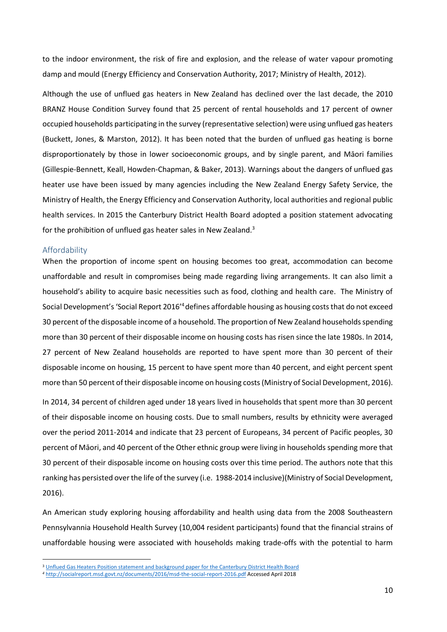to the indoor environment, the risk of fire and explosion, and the release of water vapour promoting damp and mould [\(Energy Efficiency and Conservation Authority, 2017;](#page-22-7) [Ministry of Health, 2012\)](#page-23-8).

Although the use of unflued gas heaters in New Zealand has declined over the last decade, the 2010 BRANZ House Condition Survey found that 25 percent of rental households and 17 percent of owner occupied households participating in the survey (representative selection) were using unflued gas heaters [\(Buckett, Jones, & Marston, 2012\)](#page-22-8). It has been noted that the burden of unflued gas heating is borne disproportionately by those in lower socioeconomic groups, and by single parent, and Māori families [\(Gillespie-Bennett, Keall, Howden-Chapman, &](#page-22-9) Baker, 2013). Warnings about the dangers of unflued gas heater use have been issued by many agencies including the New Zealand Energy Safety Service, the Ministry of Health, the Energy Efficiency and Conservation Authority, local authorities and regional public health services. In 2015 the Canterbury District Health Board adopted a position statement advocating for the prohibition of unflued gas heater sales in New Zealand.<sup>3</sup>

#### <span id="page-11-0"></span>Affordability

1

When the proportion of income spent on housing becomes too great, accommodation can become unaffordable and result in compromises being made regarding living arrangements. It can also limit a household's ability to acquire basic necessities such as food, clothing and health care. The Ministry of Social Development's 'Social Report 2016'<sup>4</sup>defines affordable housing as housing costs that do not exceed 30 percent of the disposable income of a household. The proportion of New Zealand households spending more than 30 percent of their disposable income on housing costs has risen since the late 1980s. In 2014, 27 percent of New Zealand households are reported to have spent more than 30 percent of their disposable income on housing, 15 percent to have spent more than 40 percent, and eight percent spent more than 50 percent of their disposable income on housing costs[\(Ministry of Social Development, 2016\)](#page-23-9).

In 2014, 34 percent of children aged under 18 years lived in households that spent more than 30 percent of their disposable income on housing costs. Due to small numbers, results by ethnicity were averaged over the period 2011-2014 and indicate that 23 percent of Europeans, 34 percent of Pacific peoples, 30 percent of Māori, and 40 percent of the Other ethnic group were living in households spending more that 30 percent of their disposable income on housing costs over this time period. The authors note that this ranking has persisted over the life of the survey (i.e. 1988-2014 inclusive)[\(Ministry of Social Development,](#page-23-9)  [2016\)](#page-23-9).

An American study exploring housing affordability and health using data from the 2008 Southeastern Pennsylvannia Household Health Survey (10,004 resident participants) found that the financial strains of unaffordable housing were associated with households making trade-offs with the potential to harm

<sup>&</sup>lt;sup>3</sup> [Unflued Gas Heaters Position statement and background paper for the Canterbury District Health Board](http://www.cdhb.health.nz/About-CDHB/corporate-publications/Documents/CDHB%20Unflued%20Gas%20Heaters%20PositionStatement.pdf)

*<sup>4</sup>* <http://socialreport.msd.govt.nz/documents/2016/msd-the-social-report-2016.pdf> Accessed April 2018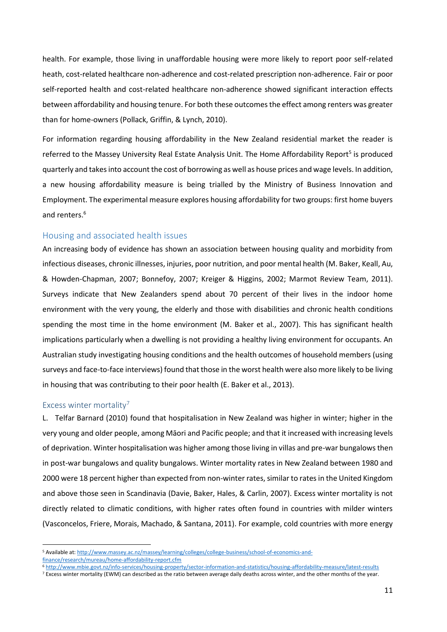health. For example, those living in unaffordable housing were more likely to report poor self-related heath, cost-related healthcare non-adherence and cost-related prescription non-adherence. Fair or poor self-reported health and cost-related healthcare non-adherence showed significant interaction effects between affordability and housing tenure. For both these outcomes the effect among renters was greater than for home-owners [\(Pollack, Griffin, & Lynch, 2010\)](#page-24-11).

For information regarding housing affordability in the New Zealand residential market the reader is referred to the Massey University Real Estate Analysis Unit. The Home Affordability Report<sup>5</sup> is produced quarterly and takes into account the cost of borrowing as well as house prices and wage levels. In addition, a new housing affordability measure is being trialled by the Ministry of Business Innovation and Employment. The experimental measure explores housing affordability for two groups: first home buyers and renters.<sup>6</sup>

#### <span id="page-12-0"></span>Housing and associated health issues

An increasing body of evidence has shown an association between housing quality and morbidity from infectious diseases, chronic illnesses, injuries, poor nutrition, and poor mental health [\(M. Baker, Keall, Au,](#page-22-10)  [& Howden-Chapman, 2007;](#page-22-10) [Bonnefoy, 2007;](#page-22-11) [Kreiger & Higgins, 2002;](#page-23-10) [Marmot Review Team, 2011\)](#page-23-7). Surveys indicate that New Zealanders spend about 70 percent of their lives in the indoor home environment with the very young, the elderly and those with disabilities and chronic health conditions spending the most time in the home environment [\(M. Baker et al., 2007\)](#page-22-10). This has significant health implications particularly when a dwelling is not providing a healthy living environment for occupants. An Australian study investigating housing conditions and the health outcomes of household members (using surveys and face-to-face interviews) found that those in the worst health were also more likely to be living in housing that was contributing to their poor health [\(E. Baker et al., 2013\)](#page-22-3).

#### <span id="page-12-1"></span>Excess winter mortality<sup>7</sup>

**.** 

L. Telfar Barnard (2010) found that hospitalisation in New Zealand was higher in winter; higher in the very young and older people, among Māori and Pacific people; and that it increased with increasing levels of deprivation. Winter hospitalisation was higher among those living in villas and pre-war bungalows then in post-war bungalows and quality bungalows. Winter mortality rates in New Zealand between 1980 and 2000 were 18 percent higher than expected from non-winter rates, similar to rates in the United Kingdom and above those seen in Scandinavia [\(Davie, Baker, Hales, & Carlin, 2007\)](#page-22-12). Excess winter mortality is not directly related to climatic conditions, with higher rates often found in countries with milder winters [\(Vasconcelos, Friere, Morais, Machado, & Santana, 2011\)](#page-24-12). For example, cold countries with more energy

<sup>5</sup> Available at: [http://www.massey.ac.nz/massey/learning/colleges/college-business/school-of-economics-and](http://www.massey.ac.nz/massey/learning/colleges/college-business/school-of-economics-and-finance/research/mureau/home-affordability-report.cfm)[finance/research/mureau/home-affordability-report.cfm](http://www.massey.ac.nz/massey/learning/colleges/college-business/school-of-economics-and-finance/research/mureau/home-affordability-report.cfm)

<sup>6</sup> <http://www.mbie.govt.nz/info-services/housing-property/sector-information-and-statistics/housing-affordability-measure/latest-results>

 $7$  Excess winter mortality (EWM) can described as the ratio between average daily deaths across winter, and the other months of the year.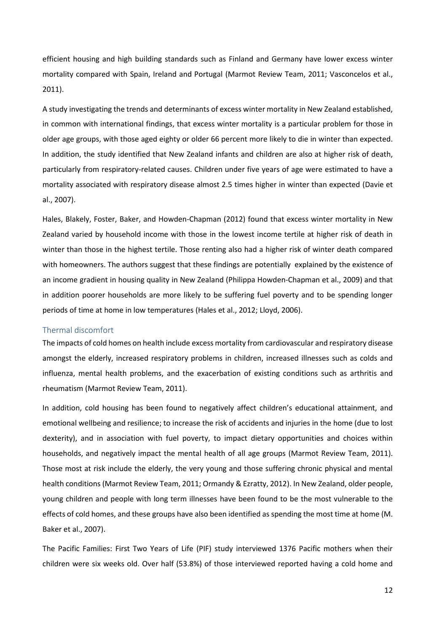efficient housing and high building standards such as Finland and Germany have lower excess winter mortality compared with Spain, Ireland and Portugal [\(Marmot Review Team, 2011;](#page-23-7) [Vasconcelos et al.,](#page-24-12)  [2011\)](#page-24-12).

A study investigating the trends and determinants of excess winter mortality in New Zealand established, in common with international findings, that excess winter mortality is a particular problem for those in older age groups, with those aged eighty or older 66 percent more likely to die in winter than expected. In addition, the study identified that New Zealand infants and children are also at higher risk of death, particularly from respiratory-related causes. Children under five years of age were estimated to have a mortality associated with respiratory disease almost 2.5 times higher in winter than expected [\(Davie et](#page-22-12)  [al., 2007\)](#page-22-12).

Hales, Blakely, Foster, Baker, and Howden-Chapman (2012) found that excess winter mortality in New Zealand varied by household income with those in the lowest income tertile at higher risk of death in winter than those in the highest tertile. Those renting also had a higher risk of winter death compared with homeowners. The authors suggest that these findings are potentially explained by the existence of an income gradient in housing quality in New Zealand [\(Philippa Howden-Chapman et al., 2009\)](#page-23-3) and that in addition poorer households are more likely to be suffering fuel poverty and to be spending longer periods of time at home in low temperatures [\(Hales et al., 2012;](#page-23-11) [Lloyd, 2006\)](#page-23-12).

#### <span id="page-13-0"></span>Thermal discomfort

The impacts of cold homes on health include excess mortality from cardiovascular and respiratory disease amongst the elderly, increased respiratory problems in children, increased illnesses such as colds and influenza, mental health problems, and the exacerbation of existing conditions such as arthritis and rheumatism [\(Marmot Review Team, 2011\)](#page-23-7).

In addition, cold housing has been found to negatively affect children's educational attainment, and emotional wellbeing and resilience; to increase the risk of accidents and injuries in the home (due to lost dexterity), and in association with fuel poverty, to impact dietary opportunities and choices within households, and negatively impact the mental health of all age groups [\(Marmot Review Team, 2011\)](#page-23-7). Those most at risk include the elderly, the very young and those suffering chronic physical and mental health conditions [\(Marmot Review Team, 2011;](#page-23-7) [Ormandy & Ezratty, 2012\)](#page-24-7). In New Zealand, older people, young children and people with long term illnesses have been found to be the most vulnerable to the effects of cold homes, and these groups have also been identified as spending the most time at home [\(M.](#page-22-10)  [Baker et al., 2007\)](#page-22-10).

The Pacific Families: First Two Years of Life (PIF) study interviewed 1376 Pacific mothers when their children were six weeks old. Over half (53.8%) of those interviewed reported having a cold home and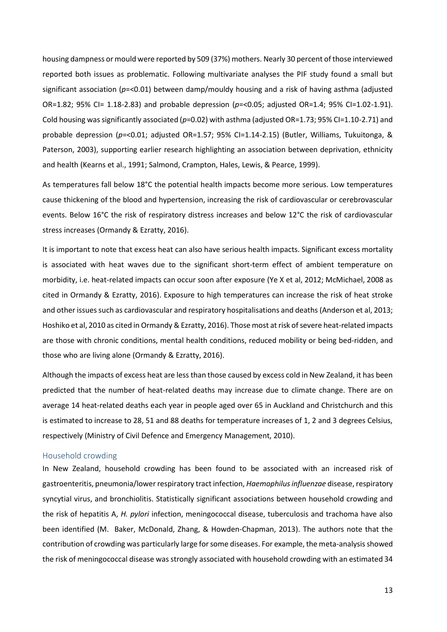housing dampness or mould were reported by 509 (37%) mothers. Nearly 30 percent of those interviewed reported both issues as problematic. Following multivariate analyses the PIF study found a small but significant association (*p*=<0.01) between damp/mouldy housing and a risk of having asthma (adjusted OR=1.82; 95% CI= 1.18-2.83) and probable depression (*p*=<0.05; adjusted OR=1.4; 95% CI=1.02-1.91). Cold housing was significantly associated (*p*=0.02) with asthma (adjusted OR=1.73; 95% CI=1.10-2.71) and probable depression (*p*=<0.01; adjusted OR=1.57; 95% CI=1.14-2.15) [\(Butler, Williams, Tukuitonga, &](#page-22-13)  [Paterson, 2003\)](#page-22-13), supporting earlier research highlighting an association between deprivation, ethnicity and health [\(Kearns et al., 1991;](#page-23-0) [Salmond, Crampton, Hales, Lewis, & Pearce, 1999\)](#page-24-13).

As temperatures fall below 18°C the potential health impacts become more serious. Low temperatures cause thickening of the blood and hypertension, increasing the risk of cardiovascular or cerebrovascular events. Below 16°C the risk of respiratory distress increases and below 12°C the risk of cardiovascular stress increases [\(Ormandy & Ezratty, 2016\)](#page-24-14).

It is important to note that excess heat can also have serious health impacts. Significant excess mortality is associated with heat waves due to the significant short-term effect of ambient temperature on morbidity, i.e. heat-related impacts can occur soon after exposure [\(Ye X et al, 2012; McMichael, 2008 as](#page-24-14)  [cited in Ormandy & Ezratty, 2016\)](#page-24-14). Exposure to high temperatures can increase the risk of heat stroke and other issues such as cardiovascular and respiratory hospitalisations and deaths [\(Anderson et al, 2013;](#page-24-14)  [Hoshiko et al, 2010 as cited in Ormandy & Ezratty, 2016\)](#page-24-14). Those most at risk of severe heat-related impacts are those with chronic conditions, mental health conditions, reduced mobility or being bed-ridden, and those who are living alone [\(Ormandy & Ezratty, 2016\)](#page-24-14).

Although the impacts of excess heat are less than those caused by excess cold in New Zealand, it has been predicted that the number of heat-related deaths may increase due to climate change. There are on average 14 heat-related deaths each year in people aged over 65 in Auckland and Christchurch and this is estimated to increase to 28, 51 and 88 deaths for temperature increases of 1, 2 and 3 degrees Celsius, respectively [\(Ministry of Civil Defence and Emergency](#page-23-13) Management, 2010).

#### <span id="page-14-0"></span>Household crowding

In New Zealand, household crowding has been found to be associated with an increased risk of gastroenteritis, pneumonia/lower respiratory tract infection, *Haemophilus influenzae* disease, respiratory syncytial virus, and bronchiolitis. Statistically significant associations between household crowding and the risk of hepatitis A, *H. pylori* infection, meningococcal disease, tuberculosis and trachoma have also been identified [\(M. Baker, McDonald, Zhang, & Howden-Chapman, 2013\)](#page-22-14). The authors note that the contribution of crowding was particularly large for some diseases. For example, the meta-analysis showed the risk of meningococcal disease was strongly associated with household crowding with an estimated 34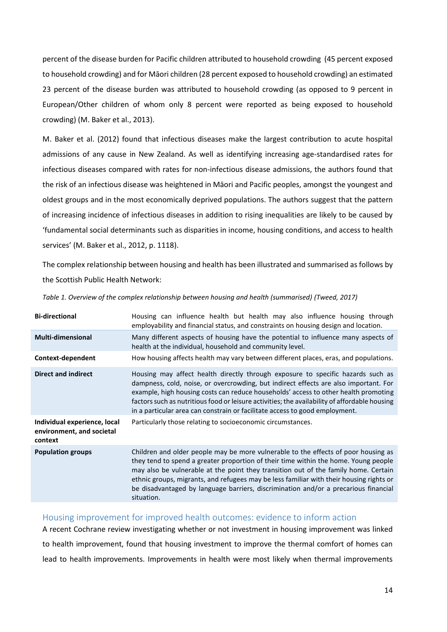percent of the disease burden for Pacific children attributed to household crowding (45 percent exposed to household crowding) and for Māori children (28 percent exposed to household crowding) an estimated 23 percent of the disease burden was attributed to household crowding (as opposed to 9 percent in European/Other children of whom only 8 percent were reported as being exposed to household crowding) [\(M. Baker et al., 2013\)](#page-22-14).

M. Baker et al. (2012) found that infectious diseases make the largest contribution to acute hospital admissions of any cause in New Zealand. As well as identifying increasing age-standardised rates for infectious diseases compared with rates for non-infectious disease admissions, the authors found that the risk of an infectious disease was heightened in Māori and Pacific peoples, amongst the youngest and oldest groups and in the most economically deprived populations. The authors suggest that the pattern of increasing incidence of infectious diseases in addition to rising inequalities are likely to be caused by 'fundamental social determinants such as disparities in income, housing conditions, and access to health services' [\(M. Baker et al., 2012, p. 1118\)](#page-22-15).

The complex relationship between housing and health has been illustrated and summarised as follows by the Scottish Public Health Network:

| Housing can influence health but health may also influence housing through<br>employability and financial status, and constraints on housing design and location.                                                                                                                                                                                                                                                                                                |
|------------------------------------------------------------------------------------------------------------------------------------------------------------------------------------------------------------------------------------------------------------------------------------------------------------------------------------------------------------------------------------------------------------------------------------------------------------------|
| Many different aspects of housing have the potential to influence many aspects of<br>health at the individual, household and community level.                                                                                                                                                                                                                                                                                                                    |
| How housing affects health may vary between different places, eras, and populations.                                                                                                                                                                                                                                                                                                                                                                             |
| Housing may affect health directly through exposure to specific hazards such as<br>dampness, cold, noise, or overcrowding, but indirect effects are also important. For<br>example, high housing costs can reduce households' access to other health promoting<br>factors such as nutritious food or leisure activities; the availability of affordable housing<br>in a particular area can constrain or facilitate access to good employment.                   |
| Particularly those relating to socioeconomic circumstances.                                                                                                                                                                                                                                                                                                                                                                                                      |
| Children and older people may be more vulnerable to the effects of poor housing as<br>they tend to spend a greater proportion of their time within the home. Young people<br>may also be vulnerable at the point they transition out of the family home. Certain<br>ethnic groups, migrants, and refugees may be less familiar with their housing rights or<br>be disadvantaged by language barriers, discrimination and/or a precarious financial<br>situation. |
|                                                                                                                                                                                                                                                                                                                                                                                                                                                                  |

*Table 1. Overview of the complex relationship between housing and health (summarised) [\(Tweed, 2017\)](#page-24-0)*

#### <span id="page-15-0"></span>Housing improvement for improved health outcomes: evidence to inform action

A recent Cochrane review investigating whether or not investment in housing improvement was linked to health improvement, found that housing investment to improve the thermal comfort of homes can lead to health improvements. Improvements in health were most likely when thermal improvements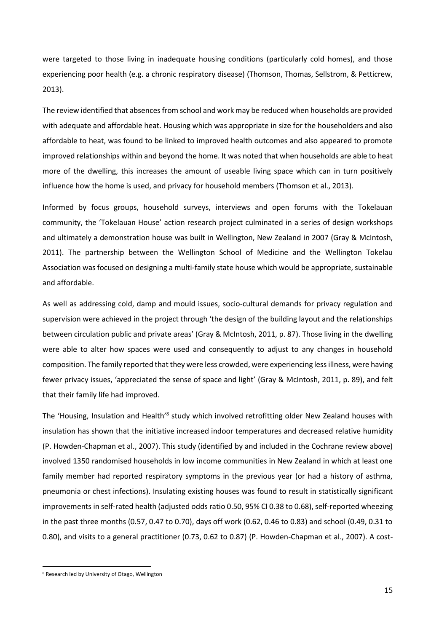were targeted to those living in inadequate housing conditions (particularly cold homes), and those experiencing poor health (e.g. a chronic respiratory disease) [\(Thomson, Thomas, Sellstrom, & Petticrew,](#page-24-15)  [2013\)](#page-24-15).

The review identified that absences from school and work may be reduced when households are provided with adequate and affordable heat. Housing which was appropriate in size for the householders and also affordable to heat, was found to be linked to improved health outcomes and also appeared to promote improved relationships within and beyond the home. It was noted that when households are able to heat more of the dwelling, this increases the amount of useable living space which can in turn positively influence how the home is used, and privacy for household members [\(Thomson et al., 2013\)](#page-24-15).

Informed by focus groups, household surveys, interviews and open forums with the Tokelauan community, the 'Tokelauan House' action research project culminated in a series of design workshops and ultimately a demonstration house was built in Wellington, New Zealand in 2007 [\(Gray & McIntosh,](#page-22-16)  [2011\)](#page-22-16). The partnership between the Wellington School of Medicine and the Wellington Tokelau Association was focused on designing a multi-family state house which would be appropriate, sustainable and affordable.

As well as addressing cold, damp and mould issues, socio-cultural demands for privacy regulation and supervision were achieved in the project through 'the design of the building layout and the relationships between circulation public and private areas' [\(Gray & McIntosh, 2011, p. 87\)](#page-22-16). Those living in the dwelling were able to alter how spaces were used and consequently to adjust to any changes in household composition. The family reported that they were less crowded, were experiencing less illness, were having fewer privacy issues, 'appreciated the sense of space and light' [\(Gray & McIntosh, 2011, p. 89\)](#page-22-16), and felt that their family life had improved.

The 'Housing, Insulation and Health'<sup>8</sup> study which involved retrofitting older New Zealand houses with insulation has shown that the initiative increased indoor temperatures and decreased relative humidity [\(P. Howden-Chapman et al., 2007\)](#page-23-14). This study (identified by and included in the Cochrane review above) involved 1350 randomised households in low income communities in New Zealand in which at least one family member had reported respiratory symptoms in the previous year (or had a history of asthma, pneumonia or chest infections). Insulating existing houses was found to result in statistically significant improvements in self-rated health (adjusted odds ratio 0.50, 95% CI 0.38 to 0.68), self-reported wheezing in the past three months (0.57, 0.47 to 0.70), days off work (0.62, 0.46 to 0.83) and school (0.49, 0.31 to 0.80), and visits to a general practitioner (0.73, 0.62 to 0.87) [\(P. Howden-Chapman et al., 2007\)](#page-23-14). A cost-

 $\overline{a}$ 

<sup>8</sup> Research led by University of Otago, Wellington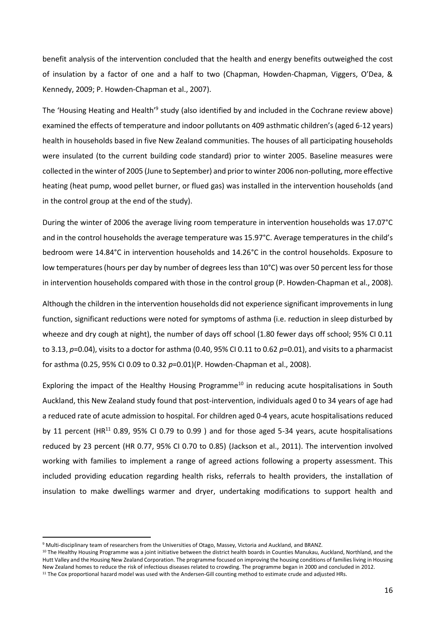benefit analysis of the intervention concluded that the health and energy benefits outweighed the cost of insulation by a factor of one and a half to two (Chapman, Howden-[Chapman, Viggers, O'Dea, &](#page-22-17)  [Kennedy, 2009;](#page-22-17) [P. Howden-Chapman et al., 2007\)](#page-23-14).

The 'Housing Heating and Health'<sup>9</sup> study (also identified by and included in the Cochrane review above) examined the effects of temperature and indoor pollutants on 409 asthmatic children's (aged 6-12 years) health in households based in five New Zealand communities. The houses of all participating households were insulated (to the current building code standard) prior to winter 2005. Baseline measures were collected in the winter of 2005 (June to September) and prior to winter 2006 non-polluting, more effective heating (heat pump, wood pellet burner, or flued gas) was installed in the intervention households (and in the control group at the end of the study).

During the winter of 2006 the average living room temperature in intervention households was 17.07°C and in the control households the average temperature was 15.97°C. Average temperatures in the child's bedroom were 14.84°C in intervention households and 14.26°C in the control households. Exposure to low temperatures (hours per day by number of degrees less than 10°C) was over 50 percent less for those in intervention households compared with those in the control group [\(P. Howden-Chapman et al., 2008\)](#page-23-15).

Although the children in the intervention households did not experience significant improvements in lung function, significant reductions were noted for symptoms of asthma (i.e. reduction in sleep disturbed by wheeze and dry cough at night), the number of days off school (1.80 fewer days off school; 95% CI 0.11 to 3.13, *p*=0.04), visits to a doctor for asthma (0.40, 95% CI 0.11 to 0.62 *p*=0.01), and visits to a pharmacist for asthma (0.25, 95% CI 0.09 to 0.32 *p*=0.01)[\(P. Howden-Chapman et al., 2008\)](#page-23-15).

Exploring the impact of the Healthy Housing Programme<sup>10</sup> in reducing acute hospitalisations in South Auckland, this New Zealand study found that post-intervention, individuals aged 0 to 34 years of age had a reduced rate of acute admission to hospital. For children aged 0-4 years, acute hospitalisations reduced by 11 percent (HR<sup>11</sup> 0.89, 95% CI 0.79 to 0.99) and for those aged 5-34 years, acute hospitalisations reduced by 23 percent (HR 0.77, 95% CI 0.70 to 0.85) [\(Jackson et al., 2011\)](#page-23-16). The intervention involved working with families to implement a range of agreed actions following a property assessment. This included providing education regarding health risks, referrals to health providers, the installation of insulation to make dwellings warmer and dryer, undertaking modifications to support health and

**.** 

<sup>9</sup> Multi-disciplinary team of researchers from the Universities of Otago, Massey, Victoria and Auckland, and BRANZ.

<sup>&</sup>lt;sup>10</sup> The Healthy Housing Programme was a joint initiative between the district health boards in Counties Manukau, Auckland, Northland, and the Hutt Valley and the Housing New Zealand Corporation. The programme focused on improving the housing conditions of families living in Housing New Zealand homes to reduce the risk of infectious diseases related to crowding. The programme began in 2000 and concluded in 2012.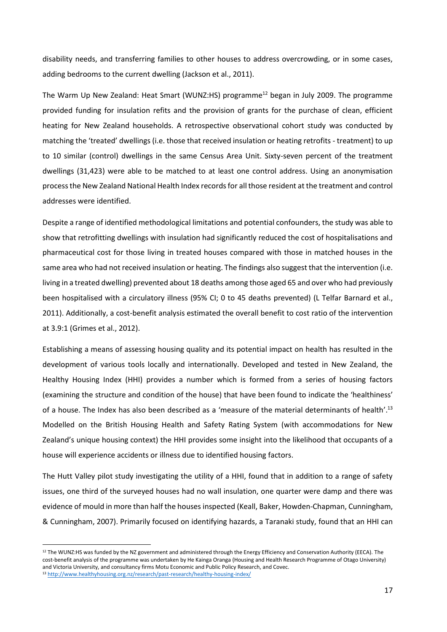disability needs, and transferring families to other houses to address overcrowding, or in some cases, adding bedrooms to the current dwelling [\(Jackson et al., 2011\)](#page-23-16).

The Warm Up New Zealand: Heat Smart (WUNZ:HS) programme<sup>12</sup> began in July 2009. The programme provided funding for insulation refits and the provision of grants for the purchase of clean, efficient heating for New Zealand households. A retrospective observational cohort study was conducted by matching the 'treated' dwellings (i.e. those that received insulation or heating retrofits - treatment) to up to 10 similar (control) dwellings in the same Census Area Unit. Sixty-seven percent of the treatment dwellings (31,423) were able to be matched to at least one control address. Using an anonymisation process the New Zealand National Health Index records for all those resident at the treatment and control addresses were identified.

Despite a range of identified methodological limitations and potential confounders, the study was able to show that retrofitting dwellings with insulation had significantly reduced the cost of hospitalisations and pharmaceutical cost for those living in treated houses compared with those in matched houses in the same area who had not received insulation or heating. The findings also suggest that the intervention (i.e. living in a treated dwelling) prevented about 18 deaths among those aged 65 and over who had previously been hospitalised with a circulatory illness (95% CI; 0 to 45 deaths prevented) (L Telfar Barnard et al., [2011\)](#page-24-16). Additionally, a cost-benefit analysis estimated the overall benefit to cost ratio of the intervention at 3.9:1 [\(Grimes et al., 2012\)](#page-23-17).

Establishing a means of assessing housing quality and its potential impact on health has resulted in the development of various tools locally and internationally. Developed and tested in New Zealand, the Healthy Housing Index (HHI) provides a number which is formed from a series of housing factors (examining the structure and condition of the house) that have been found to indicate the 'healthiness' of a house. The Index has also been described as a 'measure of the material determinants of health'.<sup>13</sup> Modelled on the British Housing Health and Safety Rating System (with accommodations for New Zealand's unique housing context) the HHI provides some insight into the likelihood that occupants of a house will experience accidents or illness due to identified housing factors.

The Hutt Valley pilot study investigating the utility of a HHI, found that in addition to a range of safety issues, one third of the surveyed houses had no wall insulation, one quarter were damp and there was evidence of mould in more than half the houses inspected [\(Keall, Baker, Howden-Chapman, Cunningham,](#page-23-18)  [& Cunningham, 2007\)](#page-23-18). Primarily focused on identifying hazards, a Taranaki study, found that an HHI can

**.** 

<sup>&</sup>lt;sup>12</sup> The WUNZ:HS was funded by the NZ government and administered through the Energy Efficiency and Conservation Authority (EECA). The cost-benefit analysis of the programme was undertaken by He Kainga Oranga (Housing and Health Research Programme of Otago University) and Victoria University, and consultancy firms Motu Economic and Public Policy Research, and Covec. <sup>13</sup> <http://www.healthyhousing.org.nz/research/past-research/healthy-housing-index/>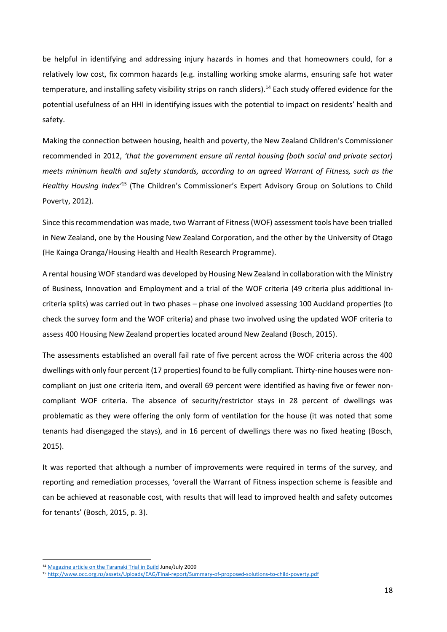be helpful in identifying and addressing injury hazards in homes and that homeowners could, for a relatively low cost, fix common hazards (e.g. installing working smoke alarms, ensuring safe hot water temperature, and installing safety visibility strips on ranch sliders).<sup>14</sup> Each study offered evidence for the potential usefulness of an HHI in identifying issues with the potential to impact on residents' health and safety.

Making the connection between housing, health and poverty, the New Zealand Children's Commissioner recommended in 2012, *'that the government ensure all rental housing (both social and private sector) meets minimum health and safety standards, according to an agreed Warrant of Fitness, such as the Healthy Housing Index'*<sup>15</sup> ([The Children's Commissioner's Expert Advisory Grou](#page-24-17)p on Solutions to Child [Poverty, 2012\)](#page-24-17).

Since this recommendation was made, two Warrant of Fitness (WOF) assessment tools have been trialled in New Zealand, one by the Housing New Zealand Corporation, and the other by the University of Otago (He Kainga Oranga/Housing Health and Health Research Programme).

A rental housing WOF standard was developed by Housing New Zealand in collaboration with the Ministry of Business, Innovation and Employment and a trial of the WOF criteria (49 criteria plus additional incriteria splits) was carried out in two phases – phase one involved assessing 100 Auckland properties (to check the survey form and the WOF criteria) and phase two involved using the updated WOF criteria to assess 400 Housing New Zealand properties located around New Zealand [\(Bosch, 2015\)](#page-22-18).

The assessments established an overall fail rate of five percent across the WOF criteria across the 400 dwellings with only four percent (17 properties) found to be fully compliant. Thirty-nine houses were noncompliant on just one criteria item, and overall 69 percent were identified as having five or fewer noncompliant WOF criteria. The absence of security/restrictor stays in 28 percent of dwellings was problematic as they were offering the only form of ventilation for the house (it was noted that some tenants had disengaged the stays), and in 16 percent of dwellings there was no fixed heating [\(Bosch,](#page-22-18)  [2015\)](#page-22-18).

It was reported that although a number of improvements were required in terms of the survey, and reporting and remediation processes, 'overall the Warrant of Fitness inspection scheme is feasible and can be achieved at reasonable cost, with results that will lead to improved health and safety outcomes for tenants' [\(Bosch, 2015, p. 3\)](#page-22-18).

1

<sup>14</sup> [Magazine article on the Taranaki Trial in Build](http://www.healthyhousing.org.nz/wp-content/uploads/2010/01/Build112Pg52-53Keall1.pdf) June/July 2009

<sup>15</sup> <http://www.occ.org.nz/assets/Uploads/EAG/Final-report/Summary-of-proposed-solutions-to-child-poverty.pdf>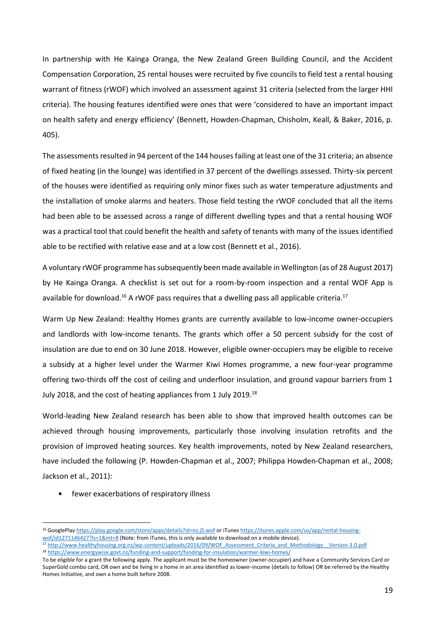In partnership with He Kainga Oranga, the New Zealand Green Building Council, and the Accident Compensation Corporation, 25 rental houses were recruited by five councils to field test a rental housing warrant of fitness (rWOF) which involved an assessment against 31 criteria (selected from the larger HHI criteria). The housing features identified were ones that were 'considered to have an important impact on health safety and energy efficiency' ([Bennett, Howden‐Chapman, Chisholm, Keall, & Baker, 2016, p.](#page-22-19)  [405\)](#page-22-19).

The assessments resulted in 94 percent of the 144 houses failing at least one of the 31 criteria; an absence of fixed heating (in the lounge) was identified in 37 percent of the dwellings assessed. Thirty-six percent of the houses were identified as requiring only minor fixes such as water temperature adjustments and the installation of smoke alarms and heaters. Those field testing the rWOF concluded that all the items had been able to be assessed across a range of different dwelling types and that a rental housing WOF was a practical tool that could benefit the health and safety of tenants with many of the issues identified able to be rectified with relative ease and at a low cost [\(Bennett et al., 2016\)](#page-22-19).

A voluntary rWOF programme has subsequently been made available in Wellington (as of 28 August 2017) by He Kainga Oranga. A checklist is set out for a room-by-room inspection and a rental WOF App is available for download.<sup>16</sup> A rWOF pass requires that a dwelling pass all applicable criteria.<sup>17</sup>

Warm Up New Zealand: Healthy Homes grants are currently available to low-income owner-occupiers and landlords with low-income tenants. The grants which offer a 50 percent subsidy for the cost of insulation are due to end on 30 June 2018. However, eligible owner-occupiers may be eligible to receive a subsidy at a higher level under the Warmer Kiwi Homes programme, a new four-year programme offering two-thirds off the cost of ceiling and underfloor insulation, and ground vapour barriers from 1 July 2018, and the cost of heating appliances from 1 July 2019.<sup>18</sup>

World-leading New Zealand research has been able to show that improved health outcomes can be achieved through housing improvements, particularly those involving insulation retrofits and the provision of improved heating sources. Key health improvements, noted by New Zealand researchers, have included the following [\(P. Howden-Chapman et al., 2007;](#page-23-14) [Philippa Howden-Chapman et al., 2008;](#page-23-19) [Jackson et al., 2011\)](#page-23-16):

fewer exacerbations of respiratory illness

**.** 

<sup>16</sup> GooglePla[y https://play.google.com/store/apps/details?id=nz.j5.wof](https://play.google.com/store/apps/details?id=nz.j5.wof) or iTune[s https://itunes.apple.com/us/app/rental-housing-](https://itunes.apple.com/us/app/rental-housing-wof/id1271146427?ls=1&mt=8)

[wof/id1271146427?ls=1&mt=8](https://itunes.apple.com/us/app/rental-housing-wof/id1271146427?ls=1&mt=8) (Note: from iTunes, this is only available to download on a mobile device).

<sup>17</sup> [http://www.healthyhousing.org.nz/wp-content/uploads/2016/09/WOF\\_Assessment\\_Criteria\\_and\\_Methodology\\_\\_Version-3.0.pdf](http://www.healthyhousing.org.nz/wp-content/uploads/2016/09/WOF_Assessment_Criteria_and_Methodology__Version-3.0.pdf) <sup>18</sup> <https://www.energywise.govt.nz/funding-and-support/funding-for-insulation/warmer-kiwi-homes/>

To be eligible for a grant the following apply. The applicant must be the homeowner (owner-occupier) and have a Community Services Card or SuperGold combo card, OR own and be living in a home in an area identified as lower-income (details to follow) OR be referred by the Healthy Homes Initiative, and own a home built before 2008.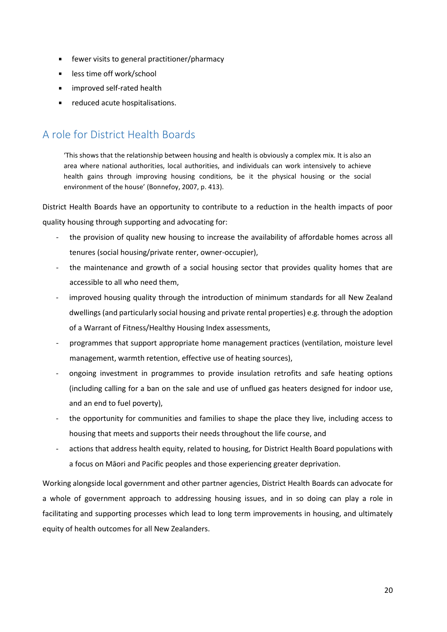- **Fig. 5** fewer visits to general practitioner/pharmacy
- less time off work/school
- improved self-rated health
- reduced acute hospitalisations.

## <span id="page-21-0"></span>A role for District Health Boards

'This shows that the relationship between housing and health is obviously a complex mix. It is also an area where national authorities, local authorities, and individuals can work intensively to achieve health gains through improving housing conditions, be it the physical housing or the social environment of the house' [\(Bonnefoy, 2007, p. 413\)](#page-22-11).

District Health Boards have an opportunity to contribute to a reduction in the health impacts of poor quality housing through supporting and advocating for:

- the provision of quality new housing to increase the availability of affordable homes across all tenures (social housing/private renter, owner-occupier),
- the maintenance and growth of a social housing sector that provides quality homes that are accessible to all who need them,
- improved housing quality through the introduction of minimum standards for all New Zealand dwellings (and particularly social housing and private rental properties) e.g. through the adoption of a Warrant of Fitness/Healthy Housing Index assessments,
- programmes that support appropriate home management practices (ventilation, moisture level management, warmth retention, effective use of heating sources),
- ongoing investment in programmes to provide insulation retrofits and safe heating options (including calling for a ban on the sale and use of unflued gas heaters designed for indoor use, and an end to fuel poverty),
- the opportunity for communities and families to shape the place they live, including access to housing that meets and supports their needs throughout the life course, and
- actions that address health equity, related to housing, for District Health Board populations with a focus on Māori and Pacific peoples and those experiencing greater deprivation.

Working alongside local government and other partner agencies, District Health Boards can advocate for a whole of government approach to addressing housing issues, and in so doing can play a role in facilitating and supporting processes which lead to long term improvements in housing, and ultimately equity of health outcomes for all New Zealanders.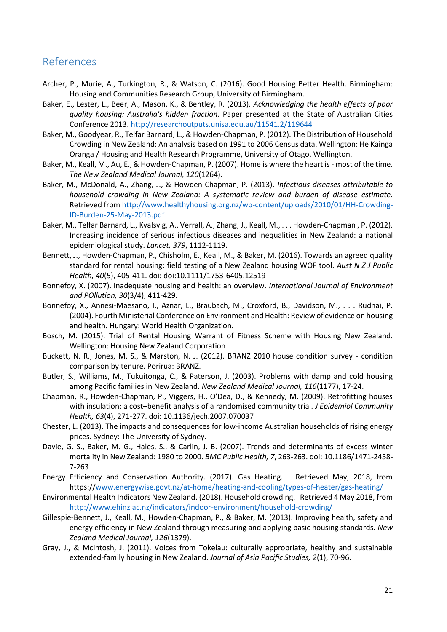## <span id="page-22-0"></span>References

- <span id="page-22-1"></span>Archer, P., Murie, A., Turkington, R., & Watson, C. (2016). Good Housing Better Health. Birmingham: Housing and Communities Research Group, University of Birmingham.
- <span id="page-22-3"></span>Baker, E., Lester, L., Beer, A., Mason, K., & Bentley, R. (2013). *Acknowledging the health effects of poor quality housing: Australia's hidden fraction*. Paper presented at the State of Australian Cities Conference 2013.<http://researchoutputs.unisa.edu.au/11541.2/119644>
- <span id="page-22-5"></span>Baker, M., Goodyear, R., Telfar Barnard, L., & Howden-Chapman, P. (2012). The Distribution of Household Crowding in New Zealand: An analysis based on 1991 to 2006 Census data. Wellington: He Kainga Oranga / Housing and Health Research Programme, University of Otago, Wellington.
- <span id="page-22-10"></span>Baker, M., Keall, M., Au, E., & Howden-Chapman, P. (2007). Home is where the heart is - most of the time. *The New Zealand Medical Journal, 120*(1264).
- <span id="page-22-14"></span>Baker, M., McDonald, A., Zhang, J., & Howden-Chapman, P. (2013). *Infectious diseases attributable to household crowding in New Zealand: A systematic review and burden of disease estimate.*  Retrieved fro[m http://www.healthyhousing.org.nz/wp-content/uploads/2010/01/HH-Crowding-](http://www.healthyhousing.org.nz/wp-content/uploads/2010/01/HH-Crowding-ID-Burden-25-May-2013.pdf)[ID-Burden-25-May-2013.pdf](http://www.healthyhousing.org.nz/wp-content/uploads/2010/01/HH-Crowding-ID-Burden-25-May-2013.pdf)
- <span id="page-22-15"></span>Baker, M., Telfar Barnard, L., Kvalsvig, A., Verrall, A., Zhang, J., Keall, M., . . . Howden-Chapman , P. (2012). Increasing incidence of serious infectious diseases and inequalities in New Zealand: a national epidemiological study. *Lancet, 379*, 1112-1119.
- <span id="page-22-19"></span>Bennett, J., Howden‐Chapman, P., Chisholm, E., Keall, M., & Baker, M. (2016). Towards an agreed quality standard for rental housing: field testing of a New Zealand housing WOF tool. *Aust N Z J Public Health, 40*(5), 405-411. doi: doi:10.1111/1753-6405.12519
- <span id="page-22-11"></span>Bonnefoy, X. (2007). Inadequate housing and health: an overview. *International Journal of Environment and POllution, 30*(3/4), 411-429.
- <span id="page-22-2"></span>Bonnefoy, X., Annesi-Maesano, I., Aznar, L., Braubach, M., Croxford, B., Davidson, M., . . . Rudnai, P. (2004). Fourth Ministerial Conference on Environment and Health: Review of evidence on housing and health. Hungary: World Health Organization.
- <span id="page-22-18"></span>Bosch, M. (2015). Trial of Rental Housing Warrant of Fitness Scheme with Housing New Zealand. Wellington: Housing New Zealand Corporation
- <span id="page-22-8"></span>Buckett, N. R., Jones, M. S., & Marston, N. J. (2012). BRANZ 2010 house condition survey - condition comparison by tenure. Porirua: BRANZ.
- <span id="page-22-13"></span>Butler, S., Williams, M., Tukuitonga, C., & Paterson, J. (2003). Problems with damp and cold housing among Pacific families in New Zealand. *New Zealand Medical Journal, 116*(1177), 17-24.
- <span id="page-22-17"></span>Chapman, R., Howden-Chapman, P., Viggers, H., O'Dea, D., & Kennedy, M. (2009). Retrofitting houses with insulation: a cost–benefit analysis of a randomised community trial. *J Epidemiol Community Health, 63*(4), 271-277. doi: 10.1136/jech.2007.070037
- <span id="page-22-6"></span>Chester, L. (2013). The impacts and consequences for low-income Australian households of rising energy prices. Sydney: The University of Sydney.
- <span id="page-22-12"></span>Davie, G. S., Baker, M. G., Hales, S., & Carlin, J. B. (2007). Trends and determinants of excess winter mortality in New Zealand: 1980 to 2000. *BMC Public Health, 7*, 263-263. doi: 10.1186/1471-2458- 7-263
- <span id="page-22-7"></span>Energy Efficiency and Conservation Authority. (2017). Gas Heating. Retrieved May, 2018, from https:/[/www.energywise.govt.nz/at-home/heating-and-cooling/types-of-heater/gas-heating/](http://www.energywise.govt.nz/at-home/heating-and-cooling/types-of-heater/gas-heating/)
- <span id="page-22-4"></span>Environmental Health Indicators New Zealand. (2018). Household crowding. Retrieved 4 May 2018, from <http://www.ehinz.ac.nz/indicators/indoor-environment/household-crowding/>
- <span id="page-22-9"></span>Gillespie-Bennett, J., Keall, M., Howden-Chapman, P., & Baker, M. (2013). Improving health, safety and energy efficiency in New Zealand through measuring and applying basic housing standards. *New Zealand Medical Journal, 126*(1379).
- <span id="page-22-16"></span>Gray, J., & McIntosh, J. (2011). Voices from Tokelau: culturally appropriate, healthy and sustainable extended-family housing in New Zealand. *Journal of Asia Pacific Studies, 2*(1), 70-96.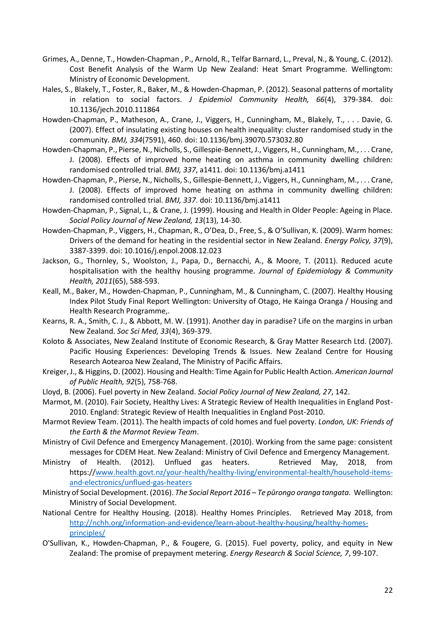- <span id="page-23-17"></span>Grimes, A., Denne, T., Howden-Chapman , P., Arnold, R., Telfar Barnard, L., Preval, N., & Young, C. (2012). Cost Benefit Analysis of the Warm Up New Zealand: Heat Smart Programme. Wellingtom: Ministry of Economic Development.
- <span id="page-23-11"></span>Hales, S., Blakely, T., Foster, R., Baker, M., & Howden-Chapman, P. (2012). Seasonal patterns of mortality in relation to social factors. *J Epidemiol Community Health, 66*(4), 379-384. doi: 10.1136/jech.2010.111864
- <span id="page-23-14"></span>Howden-Chapman, P., Matheson, A., Crane, J., Viggers, H., Cunningham, M., Blakely, T., . . . Davie, G. (2007). Effect of insulating existing houses on health inequality: cluster randomised study in the community. *BMJ, 334*(7591), 460. doi: 10.1136/bmj.39070.573032.80
- <span id="page-23-15"></span>Howden-Chapman, P., Pierse, N., Nicholls, S., Gillespie-Bennett, J., Viggers, H., Cunningham, M., . . . Crane, J. (2008). Effects of improved home heating on asthma in community dwelling children: randomised controlled trial. *BMJ, 337*, a1411. doi: 10.1136/bmj.a1411
- <span id="page-23-19"></span>Howden-Chapman, P., Pierse, N., Nicholls, S., Gillespie-Bennett, J., Viggers, H., Cunningham, M., . . . Crane, J. (2008). Effects of improved home heating on asthma in community dwelling children: randomised controlled trial. *BMJ, 337*. doi: 10.1136/bmj.a1411
- <span id="page-23-5"></span>Howden-Chapman, P., Signal, L., & Crane, J. (1999). Housing and Health in Older People: Ageing in Place. *Social Policy Journal of New Zealand, 13*(13), 14-30.
- <span id="page-23-3"></span>Howden-Chapman, P., Viggers, H., Chapman, R., O'Dea, D., Free, S., & O'Sullivan, K. (2009). Warm homes: Drivers of the demand for heating in the residential sector in New Zealand. *Energy Policy, 37*(9), 3387-3399. doi: 10.1016/j.enpol.2008.12.023
- <span id="page-23-16"></span>Jackson, G., Thornley, S., Woolston, J., Papa, D., Bernacchi, A., & Moore, T. (2011). Reduced acute hospitalisation with the healthy housing programme. *Journal of Epidemiology & Community Health, 2011*(65), 588-593.
- <span id="page-23-18"></span>Keall, M., Baker, M., Howden-Chapman, P., Cunningham, M., & Cunningham, C. (2007). Healthy Housing Index Pilot Study Final Report Wellington: University of Otago, He Kainga Oranga / Housing and Health Research Programme,.
- <span id="page-23-0"></span>Kearns, R. A., Smith, C. J., & Abbott, M. W. (1991). Another day in paradise? Life on the margins in urban New Zealand. *Soc Sci Med, 33*(4), 369-379.
- <span id="page-23-1"></span>Koloto & Associates, New Zealand Institute of Economic Research, & Gray Matter Research Ltd. (2007). Pacific Housing Experiences: Developing Trends & Issues. New Zealand Centre for Housing Research Aotearoa New Zealand, The Ministry of Pacific Affairs.
- <span id="page-23-10"></span>Kreiger, J., & Higgins, D. (2002). Housing and Health: Time Again for Public Health Action. *American Journal of Public Health, 92*(5), 758-768.
- <span id="page-23-12"></span>Lloyd, B. (2006). Fuel poverty in New Zealand. *Social Policy Journal of New Zealand, 27*, 142.
- <span id="page-23-2"></span>Marmot, M. (2010). Fair Society, Healthy Lives: A Strategic Review of Health Inequalities in England Post-2010. England: Strategic Review of Health Inequalities in England Post-2010.
- <span id="page-23-7"></span>Marmot Review Team. (2011). The health impacts of cold homes and fuel poverty. *London, UK: Friends of the Earth & the Marmot Review Team*.
- <span id="page-23-13"></span>Ministry of Civil Defence and Emergency Management. (2010). Working from the same page: consistent messages for CDEM Heat. New Zealand: Ministry of Civil Defence and Emergency Management.
- <span id="page-23-8"></span>Ministry of Health. (2012). Unflued gas heaters. Retrieved May, 2018, from https:/[/www.health.govt.nz/your-health/healthy-living/environmental-health/household-items](http://www.health.govt.nz/your-health/healthy-living/environmental-health/household-items-and-electronics/unflued-gas-heaters)[and-electronics/unflued-gas-heaters](http://www.health.govt.nz/your-health/healthy-living/environmental-health/household-items-and-electronics/unflued-gas-heaters)
- <span id="page-23-9"></span>Ministry of Social Development. (2016). *The Social Report 2016 – Te pūrongo oranga tangata.* Wellington: Ministry of Social Development.
- <span id="page-23-4"></span>National Centre for Healthy Housing. (2018). Healthy Homes Principles. Retrieved May 2018, from [http://nchh.org/information-and-evidence/learn-about-healthy-housing/healthy-homes](http://nchh.org/information-and-evidence/learn-about-healthy-housing/healthy-homes-principles/)[principles/](http://nchh.org/information-and-evidence/learn-about-healthy-housing/healthy-homes-principles/)
- <span id="page-23-6"></span>O'Sullivan, K., Howden-Chapman, P., & Fougere, G. (2015). Fuel poverty, policy, and equity in New Zealand: The promise of prepayment metering. *Energy Research & Social Science, 7*, 99-107.